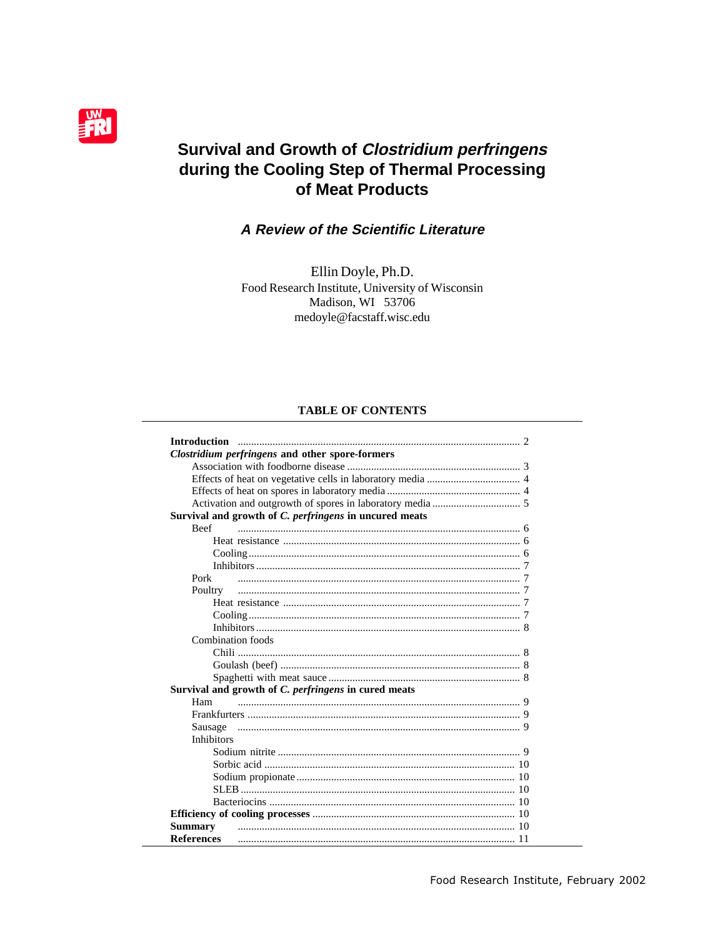

# **Survival and Growth of Clostridium perfringens** during the Cooling Step of Thermal Processing of Meat Products

# A Review of the Scientific Literature

Ellin Doyle, Ph.D. Food Research Institute, University of Wisconsin Madison, WI 53706 medoyle@facstaff.wisc.edu

### **TABLE OF CONTENTS**

|                   | <b>Clostridium perfringens and other spore-formers</b> |
|-------------------|--------------------------------------------------------|
|                   |                                                        |
|                   |                                                        |
|                   |                                                        |
|                   |                                                        |
|                   | Survival and growth of C. perfringens in uncured meats |
| <b>Beef</b>       |                                                        |
|                   |                                                        |
|                   |                                                        |
|                   |                                                        |
|                   |                                                        |
| Pork              |                                                        |
| Poultry           |                                                        |
|                   |                                                        |
|                   |                                                        |
|                   |                                                        |
| Combination foods |                                                        |
|                   |                                                        |
|                   |                                                        |
|                   |                                                        |
|                   | Survival and growth of C. perfringens in cured meats   |
| Ham               |                                                        |
|                   |                                                        |
| Sausage           |                                                        |
| <b>Inhibitors</b> |                                                        |
|                   |                                                        |
|                   |                                                        |
|                   |                                                        |
|                   |                                                        |
|                   |                                                        |
|                   |                                                        |
| <b>Summary</b>    |                                                        |
| <b>References</b> |                                                        |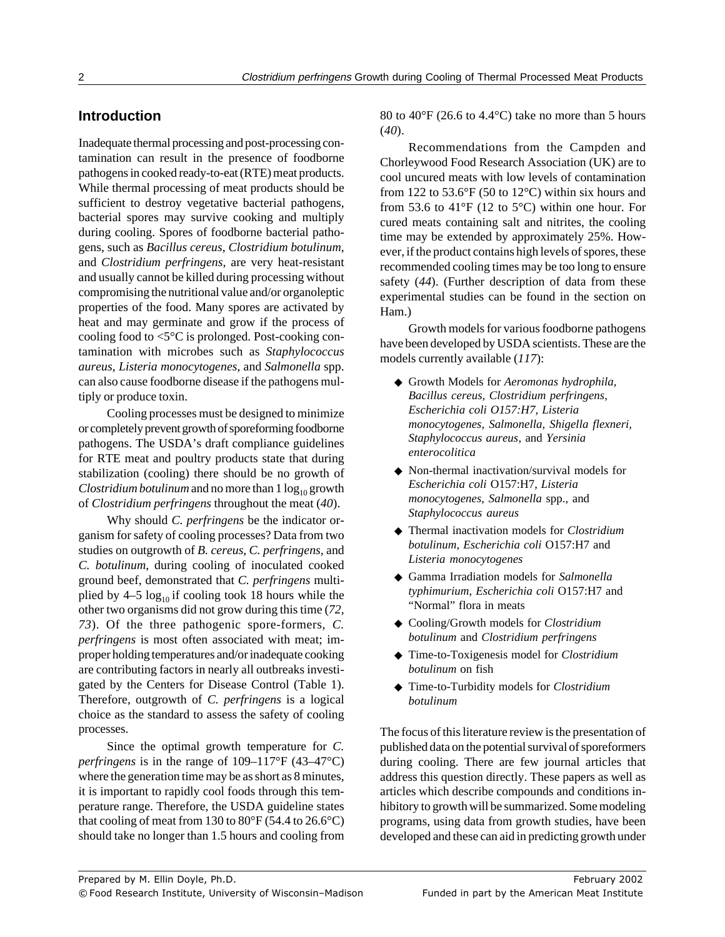# **Introduction**

Inadequate thermal processing and post-processing contamination can result in the presence of foodborne pathogens in cooked ready-to-eat (RTE) meat products. While thermal processing of meat products should be sufficient to destroy vegetative bacterial pathogens, bacterial spores may survive cooking and multiply during cooling. Spores of foodborne bacterial pathogens, such as *Bacillus cereus*, *Clostridium botulinum*, and *Clostridium perfringens*, are very heat-resistant and usually cannot be killed during processing without compromising the nutritional value and/or organoleptic properties of the food. Many spores are activated by heat and may germinate and grow if the process of cooling food to  $\leq 5^{\circ}$ C is prolonged. Post-cooking contamination with microbes such as *Staphylococcus aureus*, *Listeria monocytogenes*, and *Salmonella* spp. can also cause foodborne disease if the pathogens multiply or produce toxin.

Cooling processes must be designed to minimize or completely prevent growth of sporeforming foodborne pathogens. The USDA's draft compliance guidelines for RTE meat and poultry products state that during stabilization (cooling) there should be no growth of *Clostridium botulinum* and no more than  $1 \log_{10}$  growth of *Clostridium perfringens* throughout the meat (*40*).

Why should *C. perfringens* be the indicator organism for safety of cooling processes? Data from two studies on outgrowth of *B. cereus*, *C. perfringens,* and *C. botulinum*, during cooling of inoculated cooked ground beef, demonstrated that *C. perfringens* multiplied by  $4-5 \log_{10}$  if cooling took 18 hours while the other two organisms did not grow during this time (*72, 73*). Of the three pathogenic spore-formers, *C. perfringens* is most often associated with meat; improper holding temperatures and/or inadequate cooking are contributing factors in nearly all outbreaks investigated by the Centers for Disease Control (Table 1). Therefore, outgrowth of *C. perfringens* is a logical choice as the standard to assess the safety of cooling processes.

Since the optimal growth temperature for *C. perfringens* is in the range of 109–117°F (43–47°C) where the generation time may be as short as 8 minutes, it is important to rapidly cool foods through this temperature range. Therefore, the USDA guideline states that cooling of meat from 130 to  $80^{\circ}$ F (54.4 to 26.6 $^{\circ}$ C) should take no longer than 1.5 hours and cooling from

80 to 40°F (26.6 to 4.4°C) take no more than 5 hours (*40*).

Recommendations from the Campden and Chorleywood Food Research Association (UK) are to cool uncured meats with low levels of contamination from 122 to  $53.6^{\circ}F(50 \text{ to } 12^{\circ}C)$  within six hours and from 53.6 to 41°F (12 to 5°C) within one hour. For cured meats containing salt and nitrites, the cooling time may be extended by approximately 25%. However, if the product contains high levels of spores, these recommended cooling times may be too long to ensure safety (*44*). (Further description of data from these experimental studies can be found in the section on Ham.)

Growth models for various foodborne pathogens have been developed by USDA scientists. These are the models currently available (*117*):

- ◆ Growth Models for *Aeromonas hydrophila, Bacillus cereus, Clostridium perfringens, Escherichia coli O157:H7, Listeria monocytogenes, Salmonella, Shigella flexneri, Staphylococcus aureus*, and *Yersinia enterocolitica*
- ◆ Non-thermal inactivation/survival models for *Escherichia coli* O157:H7, *Listeria monocytogenes*, *Salmonella* spp., and *Staphylococcus aureus*
- ◆ Thermal inactivation models for *Clostridium botulinum*, *Escherichia coli* O157:H7 and *Listeria monocytogenes*
- ◆ Gamma Irradiation models for *Salmonella typhimurium*, *Escherichia coli* O157:H7 and "Normal" flora in meats
- ◆ Cooling/Growth models for *Clostridium botulinum* and *Clostridium perfringens*
- ◆ Time-to-Toxigenesis model for *Clostridium botulinum* on fish
- ◆ Time-to-Turbidity models for *Clostridium botulinum*

The focus of this literature review is the presentation of published data on the potential survival of sporeformers during cooling. There are few journal articles that address this question directly. These papers as well as articles which describe compounds and conditions inhibitory to growth will be summarized. Some modeling programs, using data from growth studies, have been developed and these can aid in predicting growth under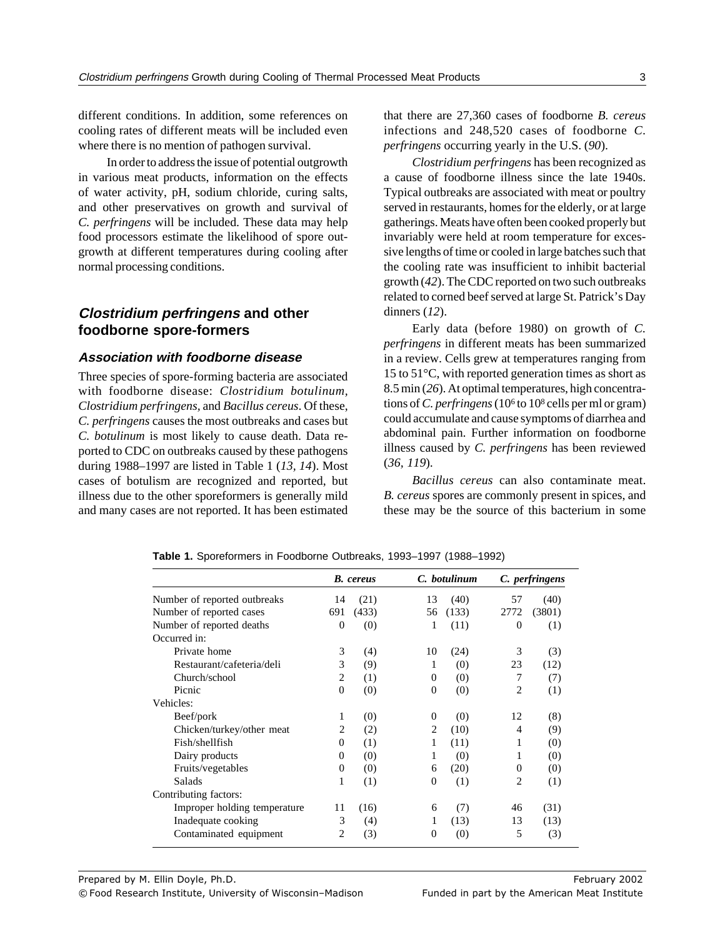different conditions. In addition, some references on cooling rates of different meats will be included even where there is no mention of pathogen survival.

In order to address the issue of potential outgrowth in various meat products, information on the effects of water activity, pH, sodium chloride, curing salts, and other preservatives on growth and survival of *C. perfringens* will be included. These data may help food processors estimate the likelihood of spore outgrowth at different temperatures during cooling after normal processing conditions.

# **Clostridium perfringens and other foodborne spore-formers**

## **Association with foodborne disease**

Three species of spore-forming bacteria are associated with foodborne disease: *Clostridium botulinum, Clostridium perfringens,* and *Bacillus cereus*. Of these, *C. perfringens* causes the most outbreaks and cases but *C. botulinum* is most likely to cause death. Data reported to CDC on outbreaks caused by these pathogens during 1988–1997 are listed in Table 1 (*13, 14*). Most cases of botulism are recognized and reported, but illness due to the other sporeformers is generally mild and many cases are not reported. It has been estimated

that there are 27,360 cases of foodborne *B. cereus* infections and 248,520 cases of foodborne *C. perfringens* occurring yearly in the U.S. (*90*).

*Clostridium perfringens* has been recognized as a cause of foodborne illness since the late 1940s. Typical outbreaks are associated with meat or poultry served in restaurants, homes for the elderly, or at large gatherings. Meats have often been cooked properly but invariably were held at room temperature for excessive lengths of time or cooled in large batches such that the cooling rate was insufficient to inhibit bacterial growth (*42*). The CDC reported on two such outbreaks related to corned beef served at large St. Patrick's Day dinners (*12*).

Early data (before 1980) on growth of *C. perfringens* in different meats has been summarized in a review. Cells grew at temperatures ranging from 15 to 51°C, with reported generation times as short as 8.5 min (*26*). At optimal temperatures, high concentrations of *C. perfringens* (106 to 108 cells per ml or gram) could accumulate and cause symptoms of diarrhea and abdominal pain. Further information on foodborne illness caused by *C. perfringens* has been reviewed (*36, 119*).

*Bacillus cereus* can also contaminate meat. *B. cereus* spores are commonly present in spices, and these may be the source of this bacterium in some

|                              |                | <b>B.</b> cereus |                | C. botulinum |                | C. perfringens |
|------------------------------|----------------|------------------|----------------|--------------|----------------|----------------|
| Number of reported outbreaks | 14             | (21)             | 13             | (40)         | 57             | (40)           |
| Number of reported cases     | 691            | (433)            | 56             | (133)        | 2772           | (3801)         |
| Number of reported deaths    | $\Omega$       | (0)              | 1              | (11)         | $\Omega$       | (1)            |
| Occurred in:                 |                |                  |                |              |                |                |
| Private home                 | 3              | (4)              | 10             | (24)         | 3              | (3)            |
| Restaurant/cafeteria/deli    | 3              | (9)              | 1              | (0)          | 23             | (12)           |
| Church/school                | $\overline{c}$ | (1)              | $\Omega$       | (0)          | 7              | (7)            |
| Picnic                       | $\Omega$       | (0)              | $\Omega$       | (0)          | 2              | (1)            |
| Vehicles:                    |                |                  |                |              |                |                |
| Beef/pork                    | 1              | (0)              | $\Omega$       | (0)          | 12             | (8)            |
| Chicken/turkey/other meat    | 2              | (2)              | 2              | (10)         | 4              | (9)            |
| Fish/shellfish               | $\Omega$       | (1)              | 1              | (11)         | 1              | (0)            |
| Dairy products               | 0              | (0)              | 1              | (0)          | 1              | (0)            |
| Fruits/vegetables            | $\overline{0}$ | (0)              | 6              | (20)         | $\Omega$       | (0)            |
| Salads                       | 1              | (1)              | $\Omega$       | (1)          | $\overline{c}$ | (1)            |
| Contributing factors:        |                |                  |                |              |                |                |
| Improper holding temperature | 11             | (16)             | 6              | (7)          | 46             | (31)           |
| Inadequate cooking           | 3              | (4)              | 1              | (13)         | 13             | (13)           |
| Contaminated equipment       | 2              | (3)              | $\overline{0}$ | (0)          | 5              | (3)            |

**Table 1.** Sporeformers in Foodborne Outbreaks, 1993–1997 (1988–1992)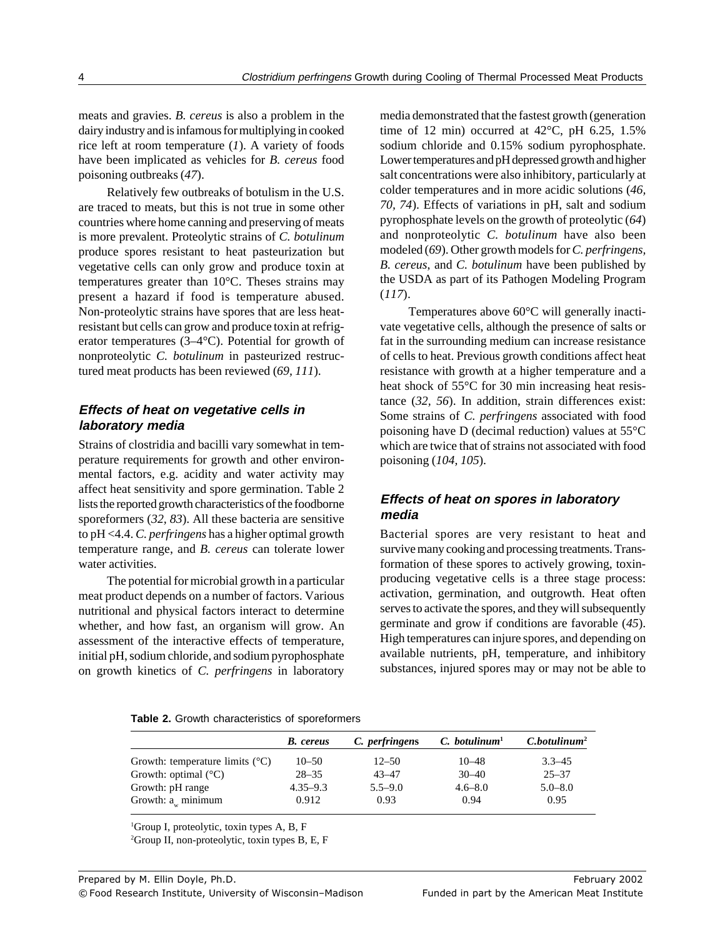meats and gravies. *B. cereus* is also a problem in the dairy industry and is infamous for multiplying in cooked rice left at room temperature (*1*). A variety of foods have been implicated as vehicles for *B. cereus* food poisoning outbreaks (*47*).

Relatively few outbreaks of botulism in the U.S. are traced to meats, but this is not true in some other countries where home canning and preserving of meats is more prevalent. Proteolytic strains of *C. botulinum* produce spores resistant to heat pasteurization but vegetative cells can only grow and produce toxin at temperatures greater than 10°C. Theses strains may present a hazard if food is temperature abused. Non-proteolytic strains have spores that are less heatresistant but cells can grow and produce toxin at refrigerator temperatures (3–4°C). Potential for growth of nonproteolytic *C. botulinum* in pasteurized restructured meat products has been reviewed (*69, 111*).

# **Effects of heat on vegetative cells in laboratory media**

Strains of clostridia and bacilli vary somewhat in temperature requirements for growth and other environmental factors, e.g. acidity and water activity may affect heat sensitivity and spore germination. Table 2 lists the reported growth characteristics of the foodborne sporeformers (*32, 83*). All these bacteria are sensitive to pH <4.4. *C. perfringens* has a higher optimal growth temperature range, and *B. cereus* can tolerate lower water activities.

The potential for microbial growth in a particular meat product depends on a number of factors. Various nutritional and physical factors interact to determine whether, and how fast, an organism will grow. An assessment of the interactive effects of temperature, initial pH, sodium chloride, and sodium pyrophosphate on growth kinetics of *C. perfringens* in laboratory

media demonstrated that the fastest growth (generation time of 12 min) occurred at  $42^{\circ}$ C, pH 6.25, 1.5% sodium chloride and 0.15% sodium pyrophosphate. Lower temperatures and pH depressed growth and higher salt concentrations were also inhibitory, particularly at colder temperatures and in more acidic solutions (*46, 70, 74*). Effects of variations in pH, salt and sodium pyrophosphate levels on the growth of proteolytic (*64*) and nonproteolytic *C. botulinum* have also been modeled (*69*). Other growth models for *C. perfringens, B. cereus*, and *C. botulinum* have been published by the USDA as part of its Pathogen Modeling Program (*117*).

Temperatures above 60°C will generally inactivate vegetative cells, although the presence of salts or fat in the surrounding medium can increase resistance of cells to heat. Previous growth conditions affect heat resistance with growth at a higher temperature and a heat shock of 55°C for 30 min increasing heat resistance (*32, 56*). In addition, strain differences exist: Some strains of *C. perfringens* associated with food poisoning have D (decimal reduction) values at 55°C which are twice that of strains not associated with food poisoning (*104, 105*).

## **Effects of heat on spores in laboratory media**

Bacterial spores are very resistant to heat and survive many cooking and processing treatments. Transformation of these spores to actively growing, toxinproducing vegetative cells is a three stage process: activation, germination, and outgrowth. Heat often serves to activate the spores, and they will subsequently germinate and grow if conditions are favorable (*45*). High temperatures can injure spores, and depending on available nutrients, pH, temperature, and inhibitory substances, injured spores may or may not be able to

|  | Table 2. Growth characteristics of sporeformers |  |
|--|-------------------------------------------------|--|
|  |                                                 |  |

|                                          | <b>B.</b> cereus | C. perfringens | $C.$ botulinum <sup>1</sup> | C.botulinum <sup>2</sup> |
|------------------------------------------|------------------|----------------|-----------------------------|--------------------------|
| Growth: temperature limits $(^{\circ}C)$ | $10 - 50$        | $12 - 50$      | $10 - 48$                   | $3.3 - 45$               |
| Growth: optimal $(^{\circ}C)$            | $28 - 35$        | $43 - 47$      | $30 - 40$                   | $25 - 37$                |
| Growth: pH range                         | $4.35 - 9.3$     | $5.5 - 9.0$    | $4.6 - 8.0$                 | $5.0 - 8.0$              |
| Growth: $a_w$ minimum                    | 0.912            | 0.93           | 0.94                        | 0.95                     |

1 Group I, proteolytic, toxin types A, B, F

2 Group II, non-proteolytic, toxin types B, E, F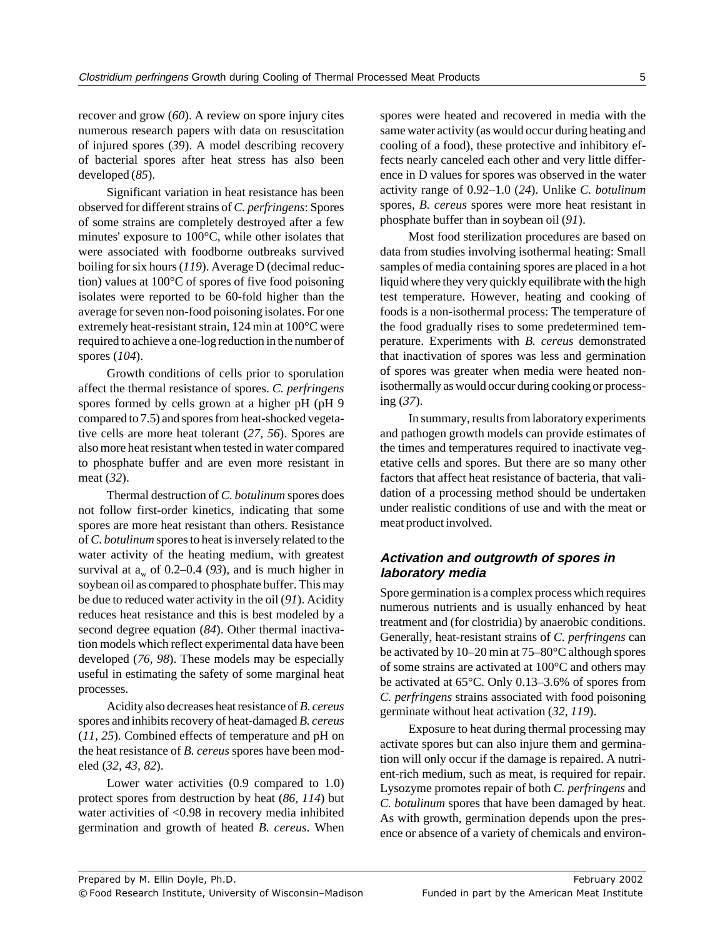recover and grow (*60*). A review on spore injury cites numerous research papers with data on resuscitation of injured spores (*39*). A model describing recovery of bacterial spores after heat stress has also been developed (*85*).

Significant variation in heat resistance has been observed for different strains of *C. perfringens*: Spores of some strains are completely destroyed after a few minutes' exposure to 100°C, while other isolates that were associated with foodborne outbreaks survived boiling for six hours (*119*). Average D (decimal reduction) values at 100°C of spores of five food poisoning isolates were reported to be 60-fold higher than the average for seven non-food poisoning isolates. For one extremely heat-resistant strain, 124 min at 100°C were required to achieve a one-log reduction in the number of spores (*104*).

Growth conditions of cells prior to sporulation affect the thermal resistance of spores. *C. perfringens* spores formed by cells grown at a higher pH (pH 9 compared to 7.5) and spores from heat-shocked vegetative cells are more heat tolerant (*27, 56*). Spores are also more heat resistant when tested in water compared to phosphate buffer and are even more resistant in meat (*32*).

Thermal destruction of *C. botulinum* spores does not follow first-order kinetics, indicating that some spores are more heat resistant than others. Resistance of *C. botulinum* spores to heat is inversely related to the water activity of the heating medium, with greatest survival at  $a_w$  of 0.2–0.4 (93), and is much higher in soybean oil as compared to phosphate buffer. This may be due to reduced water activity in the oil (*91*). Acidity reduces heat resistance and this is best modeled by a second degree equation (*84*). Other thermal inactivation models which reflect experimental data have been developed (*76, 98*). These models may be especially useful in estimating the safety of some marginal heat processes.

Acidity also decreases heat resistance of *B. cereus* spores and inhibits recovery of heat-damaged *B. cereus* (*11, 25*). Combined effects of temperature and pH on the heat resistance of *B. cereus* spores have been modeled (*32, 43, 82*).

Lower water activities  $(0.9 \text{ compared to } 1.0)$ protect spores from destruction by heat (*86, 114*) but water activities of <0.98 in recovery media inhibited germination and growth of heated *B. cereus*. When

spores were heated and recovered in media with the same water activity (as would occur during heating and cooling of a food), these protective and inhibitory effects nearly canceled each other and very little difference in D values for spores was observed in the water activity range of 0.92–1.0 (*24*). Unlike *C. botulinum* spores, *B. cereus* spores were more heat resistant in phosphate buffer than in soybean oil (*91*).

Most food sterilization procedures are based on data from studies involving isothermal heating: Small samples of media containing spores are placed in a hot liquid where they very quickly equilibrate with the high test temperature. However, heating and cooking of foods is a non-isothermal process: The temperature of the food gradually rises to some predetermined temperature. Experiments with *B. cereus* demonstrated that inactivation of spores was less and germination of spores was greater when media were heated nonisothermally as would occur during cooking or processing (*37*).

In summary, results from laboratory experiments and pathogen growth models can provide estimates of the times and temperatures required to inactivate vegetative cells and spores. But there are so many other factors that affect heat resistance of bacteria, that validation of a processing method should be undertaken under realistic conditions of use and with the meat or meat product involved.

# **Activation and outgrowth of spores in laboratory media**

Spore germination is a complex process which requires numerous nutrients and is usually enhanced by heat treatment and (for clostridia) by anaerobic conditions. Generally, heat-resistant strains of *C. perfringens* can be activated by 10–20 min at 75–80°C although spores of some strains are activated at 100°C and others may be activated at 65°C. Only 0.13–3.6% of spores from *C. perfringens* strains associated with food poisoning germinate without heat activation (*32, 119*).

Exposure to heat during thermal processing may activate spores but can also injure them and germination will only occur if the damage is repaired. A nutrient-rich medium, such as meat, is required for repair. Lysozyme promotes repair of both *C. perfringens* and *C. botulinum* spores that have been damaged by heat. As with growth, germination depends upon the presence or absence of a variety of chemicals and environ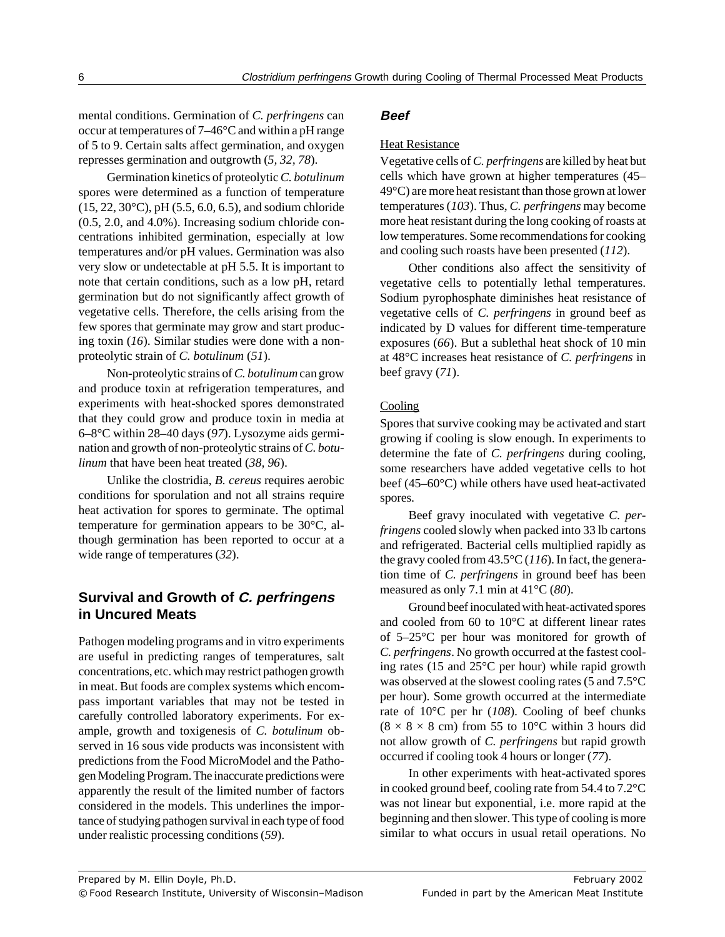mental conditions. Germination of *C. perfringens* can occur at temperatures of 7–46°C and within a pH range of 5 to 9. Certain salts affect germination, and oxygen represses germination and outgrowth (*5, 32, 78*).

Germination kinetics of proteolytic *C. botulinum* spores were determined as a function of temperature (15, 22, 30°C), pH (5.5, 6.0, 6.5), and sodium chloride (0.5, 2.0, and 4.0%). Increasing sodium chloride concentrations inhibited germination, especially at low temperatures and/or pH values. Germination was also very slow or undetectable at pH 5.5. It is important to note that certain conditions, such as a low pH, retard germination but do not significantly affect growth of vegetative cells. Therefore, the cells arising from the few spores that germinate may grow and start producing toxin (*16*). Similar studies were done with a nonproteolytic strain of *C. botulinum* (*51*).

Non-proteolytic strains of *C. botulinum* can grow and produce toxin at refrigeration temperatures, and experiments with heat-shocked spores demonstrated that they could grow and produce toxin in media at 6–8°C within 28–40 days (*97*). Lysozyme aids germination and growth of non-proteolytic strains of *C. botulinum* that have been heat treated (*38, 96*).

Unlike the clostridia, *B. cereus* requires aerobic conditions for sporulation and not all strains require heat activation for spores to germinate. The optimal temperature for germination appears to be 30°C, although germination has been reported to occur at a wide range of temperatures (*32*).

# **Survival and Growth of C. perfringens in Uncured Meats**

Pathogen modeling programs and in vitro experiments are useful in predicting ranges of temperatures, salt concentrations, etc. which may restrict pathogen growth in meat. But foods are complex systems which encompass important variables that may not be tested in carefully controlled laboratory experiments. For example, growth and toxigenesis of *C. botulinum* observed in 16 sous vide products was inconsistent with predictions from the Food MicroModel and the Pathogen Modeling Program. The inaccurate predictions were apparently the result of the limited number of factors considered in the models. This underlines the importance of studying pathogen survival in each type of food under realistic processing conditions (*59*).

#### **Beef**

#### Heat Resistance

Vegetative cells of *C. perfringens* are killed by heat but cells which have grown at higher temperatures (45– 49°C) are more heat resistant than those grown at lower temperatures (*103*). Thus, *C. perfringens* may become more heat resistant during the long cooking of roasts at low temperatures. Some recommendations for cooking and cooling such roasts have been presented (*112*).

Other conditions also affect the sensitivity of vegetative cells to potentially lethal temperatures. Sodium pyrophosphate diminishes heat resistance of vegetative cells of *C. perfringens* in ground beef as indicated by D values for different time-temperature exposures (*66*). But a sublethal heat shock of 10 min at 48°C increases heat resistance of *C. perfringens* in beef gravy (*71*).

#### Cooling

Spores that survive cooking may be activated and start growing if cooling is slow enough. In experiments to determine the fate of *C. perfringens* during cooling, some researchers have added vegetative cells to hot beef (45–60°C) while others have used heat-activated spores.

Beef gravy inoculated with vegetative *C. perfringens* cooled slowly when packed into 33 lb cartons and refrigerated. Bacterial cells multiplied rapidly as the gravy cooled from 43.5°C (*116*). In fact, the generation time of *C. perfringens* in ground beef has been measured as only 7.1 min at 41°C (*80*).

Ground beef inoculated with heat-activated spores and cooled from 60 to 10°C at different linear rates of 5–25°C per hour was monitored for growth of *C. perfringens*. No growth occurred at the fastest cooling rates (15 and 25°C per hour) while rapid growth was observed at the slowest cooling rates (5 and 7.5°C per hour). Some growth occurred at the intermediate rate of 10°C per hr (*108*). Cooling of beef chunks  $(8 \times 8 \times 8$  cm) from 55 to 10<sup>o</sup>C within 3 hours did not allow growth of *C. perfringens* but rapid growth occurred if cooling took 4 hours or longer (*77*).

In other experiments with heat-activated spores in cooked ground beef, cooling rate from 54.4 to 7.2°C was not linear but exponential, i.e. more rapid at the beginning and then slower. This type of cooling is more similar to what occurs in usual retail operations. No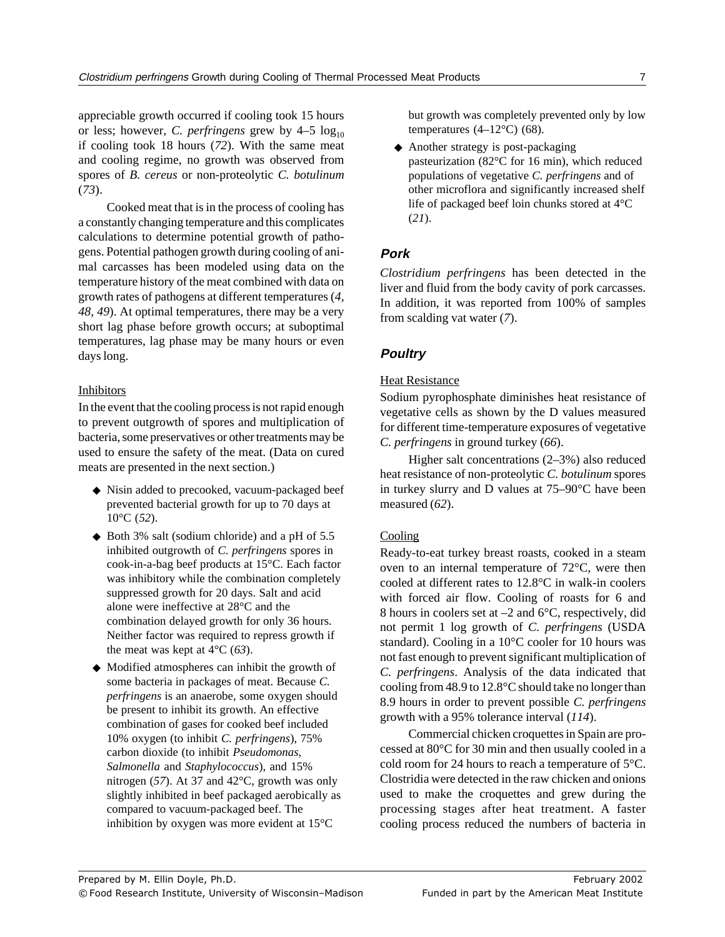appreciable growth occurred if cooling took 15 hours or less; however, *C. perfringens* grew by  $4-5 \log_{10}$ if cooling took 18 hours (*72*). With the same meat and cooling regime, no growth was observed from spores of *B. cereus* or non-proteolytic *C. botulinum* (*73*).

Cooked meat that is in the process of cooling has a constantly changing temperature and this complicates calculations to determine potential growth of pathogens. Potential pathogen growth during cooling of animal carcasses has been modeled using data on the temperature history of the meat combined with data on growth rates of pathogens at different temperatures (*4, 48, 49*). At optimal temperatures, there may be a very short lag phase before growth occurs; at suboptimal temperatures, lag phase may be many hours or even days long.

### Inhibitors

In the event that the cooling process is not rapid enough to prevent outgrowth of spores and multiplication of bacteria, some preservatives or other treatments may be used to ensure the safety of the meat. (Data on cured meats are presented in the next section.)

- ◆ Nisin added to precooked, vacuum-packaged beef prevented bacterial growth for up to 70 days at 10°C (*52*).
- ◆ Both 3% salt (sodium chloride) and a pH of 5.5 inhibited outgrowth of *C. perfringens* spores in cook-in-a-bag beef products at 15°C. Each factor was inhibitory while the combination completely suppressed growth for 20 days. Salt and acid alone were ineffective at 28°C and the combination delayed growth for only 36 hours. Neither factor was required to repress growth if the meat was kept at 4°C (*63*).
- ◆ Modified atmospheres can inhibit the growth of some bacteria in packages of meat. Because *C. perfringens* is an anaerobe, some oxygen should be present to inhibit its growth. An effective combination of gases for cooked beef included 10% oxygen (to inhibit *C. perfringens*), 75% carbon dioxide (to inhibit *Pseudomonas*, *Salmonella* and *Staphylococcus*), and 15% nitrogen (*57*). At 37 and 42°C, growth was only slightly inhibited in beef packaged aerobically as compared to vacuum-packaged beef. The inhibition by oxygen was more evident at 15°C

but growth was completely prevented only by low temperatures  $(4-12\degree C)$  (68).

◆ Another strategy is post-packaging pasteurization (82°C for 16 min), which reduced populations of vegetative *C. perfringens* and of other microflora and significantly increased shelf life of packaged beef loin chunks stored at 4°C (*21*).

# **Pork**

*Clostridium perfringens* has been detected in the liver and fluid from the body cavity of pork carcasses. In addition, it was reported from 100% of samples from scalding vat water (*7*).

# **Poultry**

#### Heat Resistance

Sodium pyrophosphate diminishes heat resistance of vegetative cells as shown by the D values measured for different time-temperature exposures of vegetative *C. perfringens* in ground turkey (*66*).

Higher salt concentrations (2–3%) also reduced heat resistance of non-proteolytic *C. botulinum* spores in turkey slurry and D values at 75–90°C have been measured (*62*).

### Cooling

Ready-to-eat turkey breast roasts, cooked in a steam oven to an internal temperature of 72°C, were then cooled at different rates to 12.8°C in walk-in coolers with forced air flow. Cooling of roasts for 6 and 8 hours in coolers set at –2 and 6°C, respectively, did not permit 1 log growth of *C. perfringens* (USDA standard). Cooling in a 10°C cooler for 10 hours was not fast enough to prevent significant multiplication of *C. perfringens*. Analysis of the data indicated that cooling from 48.9 to 12.8°C should take no longer than 8.9 hours in order to prevent possible *C. perfringens* growth with a 95% tolerance interval (*114*).

Commercial chicken croquettes in Spain are processed at 80°C for 30 min and then usually cooled in a cold room for 24 hours to reach a temperature of 5°C. Clostridia were detected in the raw chicken and onions used to make the croquettes and grew during the processing stages after heat treatment. A faster cooling process reduced the numbers of bacteria in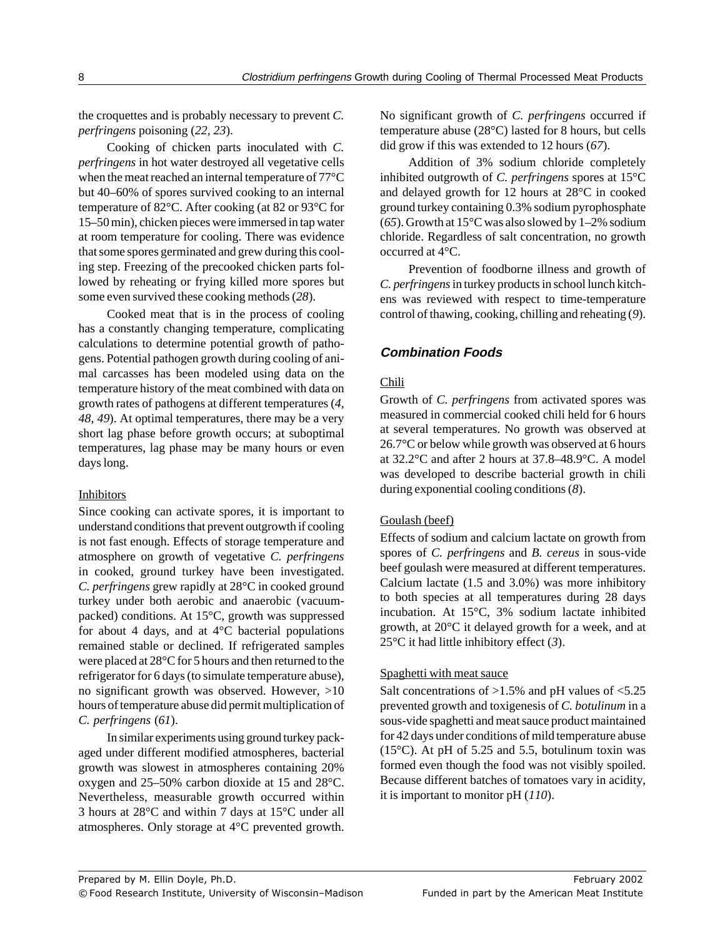the croquettes and is probably necessary to prevent *C. perfringens* poisoning (*22, 23*).

Cooking of chicken parts inoculated with *C. perfringens* in hot water destroyed all vegetative cells when the meat reached an internal temperature of 77°C but 40–60% of spores survived cooking to an internal temperature of 82°C. After cooking (at 82 or 93°C for 15–50 min), chicken pieces were immersed in tap water at room temperature for cooling. There was evidence that some spores germinated and grew during this cooling step. Freezing of the precooked chicken parts followed by reheating or frying killed more spores but some even survived these cooking methods (*28*).

Cooked meat that is in the process of cooling has a constantly changing temperature, complicating calculations to determine potential growth of pathogens. Potential pathogen growth during cooling of animal carcasses has been modeled using data on the temperature history of the meat combined with data on growth rates of pathogens at different temperatures (*4, 48, 49*). At optimal temperatures, there may be a very short lag phase before growth occurs; at suboptimal temperatures, lag phase may be many hours or even days long.

#### **Inhibitors**

Since cooking can activate spores, it is important to understand conditions that prevent outgrowth if cooling is not fast enough. Effects of storage temperature and atmosphere on growth of vegetative *C. perfringens* in cooked, ground turkey have been investigated. *C. perfringens* grew rapidly at 28°C in cooked ground turkey under both aerobic and anaerobic (vacuumpacked) conditions. At 15°C, growth was suppressed for about 4 days, and at  $4^{\circ}$ C bacterial populations remained stable or declined. If refrigerated samples were placed at 28°C for 5 hours and then returned to the refrigerator for 6 days (to simulate temperature abuse), no significant growth was observed. However, >10 hours of temperature abuse did permit multiplication of *C. perfringens* (*61*).

In similar experiments using ground turkey packaged under different modified atmospheres, bacterial growth was slowest in atmospheres containing 20% oxygen and 25–50% carbon dioxide at 15 and 28°C. Nevertheless, measurable growth occurred within 3 hours at 28°C and within 7 days at 15°C under all atmospheres. Only storage at 4°C prevented growth.

No significant growth of *C. perfringens* occurred if temperature abuse (28°C) lasted for 8 hours, but cells did grow if this was extended to 12 hours (*67*).

Addition of 3% sodium chloride completely inhibited outgrowth of *C. perfringens* spores at 15°C and delayed growth for 12 hours at 28°C in cooked ground turkey containing 0.3% sodium pyrophosphate (65). Growth at  $15^{\circ}$ C was also slowed by  $1-2\%$  sodium chloride. Regardless of salt concentration, no growth occurred at 4°C.

Prevention of foodborne illness and growth of *C. perfringens* in turkey products in school lunch kitchens was reviewed with respect to time-temperature control of thawing, cooking, chilling and reheating (*9*).

## **Combination Foods**

### Chili

Growth of *C. perfringens* from activated spores was measured in commercial cooked chili held for 6 hours at several temperatures. No growth was observed at 26.7°C or below while growth was observed at 6 hours at 32.2°C and after 2 hours at 37.8–48.9°C. A model was developed to describe bacterial growth in chili during exponential cooling conditions (*8*).

#### Goulash (beef)

Effects of sodium and calcium lactate on growth from spores of *C. perfringens* and *B. cereus* in sous-vide beef goulash were measured at different temperatures. Calcium lactate (1.5 and 3.0%) was more inhibitory to both species at all temperatures during 28 days incubation. At 15°C, 3% sodium lactate inhibited growth, at 20°C it delayed growth for a week, and at 25°C it had little inhibitory effect (*3*).

#### Spaghetti with meat sauce

Salt concentrations of >1.5% and pH values of <5.25 prevented growth and toxigenesis of *C. botulinum* in a sous-vide spaghetti and meat sauce product maintained for 42 days under conditions of mild temperature abuse (15 $^{\circ}$ C). At pH of 5.25 and 5.5, botulinum toxin was formed even though the food was not visibly spoiled. Because different batches of tomatoes vary in acidity, it is important to monitor pH (*110*).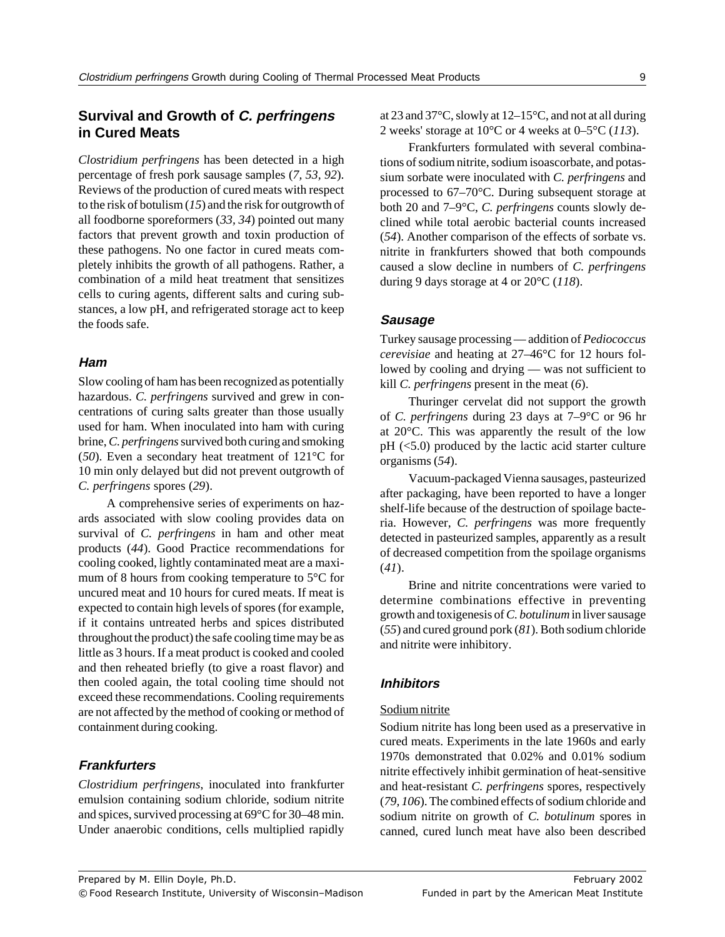# **Survival and Growth of C. perfringens in Cured Meats**

*Clostridium perfringens* has been detected in a high percentage of fresh pork sausage samples (*7, 53, 92*). Reviews of the production of cured meats with respect to the risk of botulism (*15*) and the risk for outgrowth of all foodborne sporeformers (*33, 34*) pointed out many factors that prevent growth and toxin production of these pathogens. No one factor in cured meats completely inhibits the growth of all pathogens. Rather, a combination of a mild heat treatment that sensitizes cells to curing agents, different salts and curing substances, a low pH, and refrigerated storage act to keep the foods safe.

#### **Ham**

Slow cooling of ham has been recognized as potentially hazardous. *C. perfringens* survived and grew in concentrations of curing salts greater than those usually used for ham. When inoculated into ham with curing brine, *C. perfringens* survived both curing and smoking (*50*). Even a secondary heat treatment of 121°C for 10 min only delayed but did not prevent outgrowth of *C. perfringens* spores (*29*).

A comprehensive series of experiments on hazards associated with slow cooling provides data on survival of *C. perfringens* in ham and other meat products (*44*). Good Practice recommendations for cooling cooked, lightly contaminated meat are a maximum of 8 hours from cooking temperature to 5°C for uncured meat and 10 hours for cured meats. If meat is expected to contain high levels of spores (for example, if it contains untreated herbs and spices distributed throughout the product) the safe cooling time may be as little as 3 hours. If a meat product is cooked and cooled and then reheated briefly (to give a roast flavor) and then cooled again, the total cooling time should not exceed these recommendations. Cooling requirements are not affected by the method of cooking or method of containment during cooking.

#### **Frankfurters**

*Clostridium perfringens*, inoculated into frankfurter emulsion containing sodium chloride, sodium nitrite and spices, survived processing at 69°C for 30–48 min. Under anaerobic conditions, cells multiplied rapidly at 23 and 37°C, slowly at 12–15°C, and not at all during 2 weeks' storage at 10°C or 4 weeks at 0–5°C (*113*).

Frankfurters formulated with several combinations of sodium nitrite, sodium isoascorbate, and potassium sorbate were inoculated with *C. perfringens* and processed to 67–70°C. During subsequent storage at both 20 and 7–9°C, *C. perfringens* counts slowly declined while total aerobic bacterial counts increased (*54*). Another comparison of the effects of sorbate vs. nitrite in frankfurters showed that both compounds caused a slow decline in numbers of *C. perfringens* during 9 days storage at 4 or 20°C (*118*).

#### **Sausage**

Turkey sausage processing — addition of *Pediococcus cerevisiae* and heating at 27–46°C for 12 hours followed by cooling and drying — was not sufficient to kill *C. perfringens* present in the meat (*6*).

Thuringer cervelat did not support the growth of *C. perfringens* during 23 days at 7–9°C or 96 hr at 20°C. This was apparently the result of the low  $pH$  ( $\leq$ 5.0) produced by the lactic acid starter culture organisms (*54*).

Vacuum-packaged Vienna sausages, pasteurized after packaging, have been reported to have a longer shelf-life because of the destruction of spoilage bacteria. However, *C. perfringens* was more frequently detected in pasteurized samples, apparently as a result of decreased competition from the spoilage organisms (*41*).

Brine and nitrite concentrations were varied to determine combinations effective in preventing growth and toxigenesis of *C. botulinum* in liver sausage (*55*) and cured ground pork (*81*). Both sodium chloride and nitrite were inhibitory.

#### **Inhibitors**

#### Sodium nitrite

Sodium nitrite has long been used as a preservative in cured meats. Experiments in the late 1960s and early 1970s demonstrated that 0.02% and 0.01% sodium nitrite effectively inhibit germination of heat-sensitive and heat-resistant *C. perfringens* spores, respectively (*79, 106*). The combined effects of sodium chloride and sodium nitrite on growth of *C. botulinum* spores in canned, cured lunch meat have also been described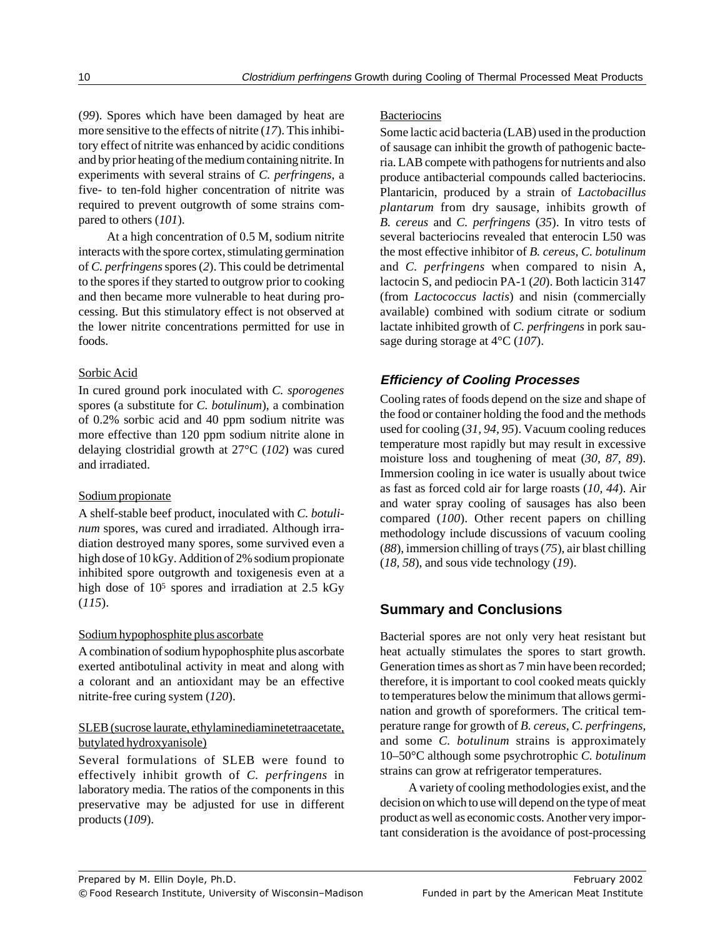(*99*). Spores which have been damaged by heat are more sensitive to the effects of nitrite (*17*). This inhibitory effect of nitrite was enhanced by acidic conditions and by prior heating of the medium containing nitrite. In experiments with several strains of *C. perfringens*, a five- to ten-fold higher concentration of nitrite was required to prevent outgrowth of some strains compared to others (*101*).

At a high concentration of 0.5 M, sodium nitrite interacts with the spore cortex, stimulating germination of *C. perfringens* spores (*2*). This could be detrimental to the spores if they started to outgrow prior to cooking and then became more vulnerable to heat during processing. But this stimulatory effect is not observed at the lower nitrite concentrations permitted for use in foods.

#### Sorbic Acid

In cured ground pork inoculated with *C. sporogenes* spores (a substitute for *C. botulinum*), a combination of 0.2% sorbic acid and 40 ppm sodium nitrite was more effective than 120 ppm sodium nitrite alone in delaying clostridial growth at 27°C (*102*) was cured and irradiated.

### Sodium propionate

A shelf-stable beef product, inoculated with *C. botulinum* spores, was cured and irradiated. Although irradiation destroyed many spores, some survived even a high dose of 10 kGy. Addition of 2% sodium propionate inhibited spore outgrowth and toxigenesis even at a high dose of  $10^5$  spores and irradiation at 2.5 kGy (*115*).

### Sodium hypophosphite plus ascorbate

A combination of sodium hypophosphite plus ascorbate exerted antibotulinal activity in meat and along with a colorant and an antioxidant may be an effective nitrite-free curing system (*120*).

### SLEB (sucrose laurate, ethylaminediaminetetraacetate, butylated hydroxyanisole)

Several formulations of SLEB were found to effectively inhibit growth of *C. perfringens* in laboratory media. The ratios of the components in this preservative may be adjusted for use in different products (*109*).

### **Bacteriocins**

Some lactic acid bacteria (LAB) used in the production of sausage can inhibit the growth of pathogenic bacteria. LAB compete with pathogens for nutrients and also produce antibacterial compounds called bacteriocins. Plantaricin, produced by a strain of *Lactobacillus plantarum* from dry sausage, inhibits growth of *B. cereus* and *C. perfringens* (*35*). In vitro tests of several bacteriocins revealed that enterocin L50 was the most effective inhibitor of *B. cereus, C. botulinum* and *C. perfringens* when compared to nisin A, lactocin S, and pediocin PA-1 (*20*). Both lacticin 3147 (from *Lactococcus lactis*) and nisin (commercially available) combined with sodium citrate or sodium lactate inhibited growth of *C. perfringens* in pork sausage during storage at 4°C (*107*).

# **Efficiency of Cooling Processes**

Cooling rates of foods depend on the size and shape of the food or container holding the food and the methods used for cooling (*31, 94, 95*). Vacuum cooling reduces temperature most rapidly but may result in excessive moisture loss and toughening of meat (*30, 87, 89*). Immersion cooling in ice water is usually about twice as fast as forced cold air for large roasts (*10, 44*). Air and water spray cooling of sausages has also been compared (*100*). Other recent papers on chilling methodology include discussions of vacuum cooling (*88*), immersion chilling of trays (*75*), air blast chilling (*18, 58*), and sous vide technology (*19*).

# **Summary and Conclusions**

Bacterial spores are not only very heat resistant but heat actually stimulates the spores to start growth. Generation times as short as 7 min have been recorded; therefore, it is important to cool cooked meats quickly to temperatures below the minimum that allows germination and growth of sporeformers. The critical temperature range for growth of *B. cereus, C. perfringens,* and some *C. botulinum* strains is approximately 10–50°C although some psychrotrophic *C. botulinum* strains can grow at refrigerator temperatures.

A variety of cooling methodologies exist, and the decision on which to use will depend on the type of meat product as well as economic costs. Another very important consideration is the avoidance of post-processing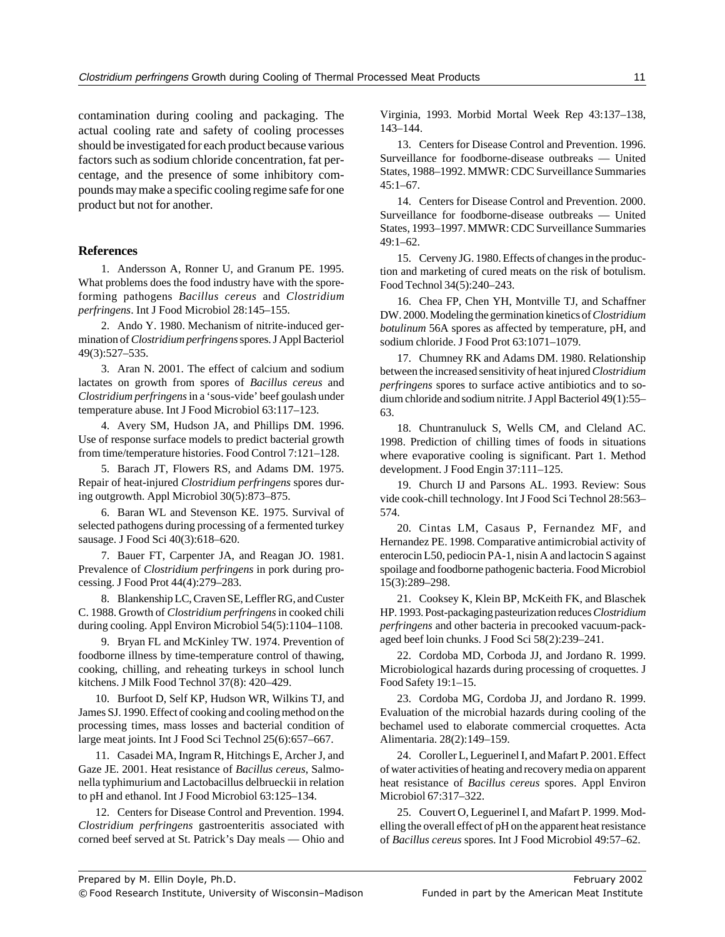contamination during cooling and packaging. The actual cooling rate and safety of cooling processes should be investigated for each product because various factors such as sodium chloride concentration, fat percentage, and the presence of some inhibitory compounds may make a specific cooling regime safe for one product but not for another.

#### **References**

1. Andersson A, Ronner U, and Granum PE. 1995. What problems does the food industry have with the sporeforming pathogens *Bacillus cereus* and *Clostridium perfringens*. Int J Food Microbiol 28:145–155.

2. Ando Y. 1980. Mechanism of nitrite-induced germination of *Clostridium perfringens* spores. J Appl Bacteriol 49(3):527–535.

3. Aran N. 2001. The effect of calcium and sodium lactates on growth from spores of *Bacillus cereus* and *Clostridium perfringens* in a 'sous-vide' beef goulash under temperature abuse. Int J Food Microbiol 63:117–123.

4. Avery SM, Hudson JA, and Phillips DM. 1996. Use of response surface models to predict bacterial growth from time/temperature histories. Food Control 7:121–128.

5. Barach JT, Flowers RS, and Adams DM. 1975. Repair of heat-injured *Clostridium perfringens* spores during outgrowth. Appl Microbiol 30(5):873–875.

6. Baran WL and Stevenson KE. 1975. Survival of selected pathogens during processing of a fermented turkey sausage. J Food Sci 40(3):618–620.

7. Bauer FT, Carpenter JA, and Reagan JO. 1981. Prevalence of *Clostridium perfringens* in pork during processing. J Food Prot 44(4):279–283.

8. Blankenship LC, Craven SE, Leffler RG, and Custer C. 1988. Growth of *Clostridium perfringens* in cooked chili during cooling. Appl Environ Microbiol 54(5):1104–1108.

9. Bryan FL and McKinley TW. 1974. Prevention of foodborne illness by time-temperature control of thawing, cooking, chilling, and reheating turkeys in school lunch kitchens. J Milk Food Technol 37(8): 420–429.

10. Burfoot D, Self KP, Hudson WR, Wilkins TJ, and James SJ. 1990. Effect of cooking and cooling method on the processing times, mass losses and bacterial condition of large meat joints. Int J Food Sci Technol 25(6):657–667.

11. Casadei MA, Ingram R, Hitchings E, Archer J, and Gaze JE. 2001. Heat resistance of *Bacillus cereus*, Salmonella typhimurium and Lactobacillus delbrueckii in relation to pH and ethanol. Int J Food Microbiol 63:125–134.

12. Centers for Disease Control and Prevention. 1994. *Clostridium perfringens* gastroenteritis associated with corned beef served at St. Patrick's Day meals — Ohio and Virginia, 1993. Morbid Mortal Week Rep 43:137–138, 143–144.

13. Centers for Disease Control and Prevention. 1996. Surveillance for foodborne-disease outbreaks — United States, 1988–1992. MMWR: CDC Surveillance Summaries  $45:1-67$ .

14. Centers for Disease Control and Prevention. 2000. Surveillance for foodborne-disease outbreaks — United States, 1993–1997. MMWR: CDC Surveillance Summaries 49:1–62.

15. Cerveny JG. 1980. Effects of changes in the production and marketing of cured meats on the risk of botulism. Food Technol 34(5):240–243.

16. Chea FP, Chen YH, Montville TJ, and Schaffner DW. 2000. Modeling the germination kinetics of *Clostridium botulinum* 56A spores as affected by temperature, pH, and sodium chloride. J Food Prot 63:1071–1079.

17. Chumney RK and Adams DM. 1980. Relationship between the increased sensitivity of heat injured *Clostridium perfringens* spores to surface active antibiotics and to sodium chloride and sodium nitrite. J Appl Bacteriol 49(1):55– 63.

18. Chuntranuluck S, Wells CM, and Cleland AC. 1998. Prediction of chilling times of foods in situations where evaporative cooling is significant. Part 1. Method development. J Food Engin 37:111–125.

19. Church IJ and Parsons AL. 1993. Review: Sous vide cook-chill technology. Int J Food Sci Technol 28:563– 574.

20. Cintas LM, Casaus P, Fernandez MF, and Hernandez PE. 1998. Comparative antimicrobial activity of enterocin L50, pediocin PA-1, nisin A and lactocin S against spoilage and foodborne pathogenic bacteria. Food Microbiol 15(3):289–298.

21. Cooksey K, Klein BP, McKeith FK, and Blaschek HP. 1993. Post-packaging pasteurization reduces *Clostridium perfringens* and other bacteria in precooked vacuum-packaged beef loin chunks. J Food Sci 58(2):239–241.

22. Cordoba MD, Corboda JJ, and Jordano R. 1999. Microbiological hazards during processing of croquettes. J Food Safety 19:1–15.

23. Cordoba MG, Cordoba JJ, and Jordano R. 1999. Evaluation of the microbial hazards during cooling of the bechamel used to elaborate commercial croquettes. Acta Alimentaria. 28(2):149–159.

24. Coroller L, Leguerinel I, and Mafart P. 2001. Effect of water activities of heating and recovery media on apparent heat resistance of *Bacillus cereus* spores. Appl Environ Microbiol 67:317–322.

25. Couvert O, Leguerinel I, and Mafart P. 1999. Modelling the overall effect of pH on the apparent heat resistance of *Bacillus cereus* spores. Int J Food Microbiol 49:57–62.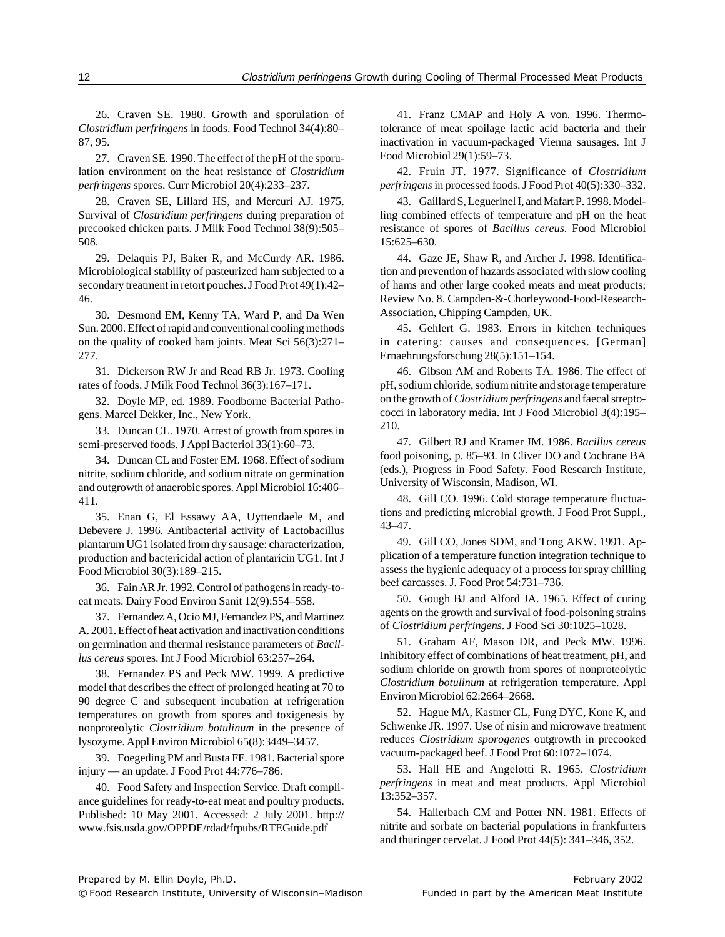26. Craven SE. 1980. Growth and sporulation of *Clostridium perfringens* in foods. Food Technol 34(4):80– 87, 95.

27. Craven SE. 1990. The effect of the pH of the sporulation environment on the heat resistance of *Clostridium perfringens* spores. Curr Microbiol 20(4):233–237.

28. Craven SE, Lillard HS, and Mercuri AJ. 1975. Survival of *Clostridium perfringens* during preparation of precooked chicken parts. J Milk Food Technol 38(9):505– 508.

29. Delaquis PJ, Baker R, and McCurdy AR. 1986. Microbiological stability of pasteurized ham subjected to a secondary treatment in retort pouches. J Food Prot 49(1):42– 46.

30. Desmond EM, Kenny TA, Ward P, and Da Wen Sun. 2000. Effect of rapid and conventional cooling methods on the quality of cooked ham joints. Meat Sci 56(3):271– 277.

31. Dickerson RW Jr and Read RB Jr. 1973. Cooling rates of foods. J Milk Food Technol 36(3):167–171.

32. Doyle MP, ed. 1989. Foodborne Bacterial Pathogens. Marcel Dekker, Inc., New York.

33. Duncan CL. 1970. Arrest of growth from spores in semi-preserved foods. J Appl Bacteriol 33(1):60–73.

34. Duncan CL and Foster EM. 1968. Effect of sodium nitrite, sodium chloride, and sodium nitrate on germination and outgrowth of anaerobic spores. Appl Microbiol 16:406– 411.

35. Enan G, El Essawy AA, Uyttendaele M, and Debevere J. 1996. Antibacterial activity of Lactobacillus plantarum UG1 isolated from dry sausage: characterization, production and bactericidal action of plantaricin UG1. Int J Food Microbiol 30(3):189–215.

36. Fain AR Jr. 1992. Control of pathogens in ready-toeat meats. Dairy Food Environ Sanit 12(9):554–558.

37. Fernandez A, Ocio MJ, Fernandez PS, and Martinez A. 2001. Effect of heat activation and inactivation conditions on germination and thermal resistance parameters of *Bacillus cereus* spores. Int J Food Microbiol 63:257–264.

38. Fernandez PS and Peck MW. 1999. A predictive model that describes the effect of prolonged heating at 70 to 90 degree C and subsequent incubation at refrigeration temperatures on growth from spores and toxigenesis by nonproteolytic *Clostridium botulinum* in the presence of lysozyme. Appl Environ Microbiol 65(8):3449–3457.

39. Foegeding PM and Busta FF. 1981. Bacterial spore injury — an update. J Food Prot 44:776–786.

40. Food Safety and Inspection Service. Draft compliance guidelines for ready-to-eat meat and poultry products. Published: 10 May 2001. Accessed: 2 July 2001. http:// www.fsis.usda.gov/OPPDE/rdad/frpubs/RTEGuide.pdf

41. Franz CMAP and Holy A von. 1996. Thermotolerance of meat spoilage lactic acid bacteria and their inactivation in vacuum-packaged Vienna sausages. Int J Food Microbiol 29(1):59–73.

42. Fruin JT. 1977. Significance of *Clostridium perfringens* in processed foods. J Food Prot 40(5):330–332.

43. Gaillard S, Leguerinel I, and Mafart P. 1998. Modelling combined effects of temperature and pH on the heat resistance of spores of *Bacillus cereus*. Food Microbiol 15:625–630.

44. Gaze JE, Shaw R, and Archer J. 1998. Identification and prevention of hazards associated with slow cooling of hams and other large cooked meats and meat products; Review No. 8. Campden-&-Chorleywood-Food-Research-Association, Chipping Campden, UK.

45. Gehlert G. 1983. Errors in kitchen techniques in catering: causes and consequences. [German] Ernaehrungsforschung 28(5):151–154.

46. Gibson AM and Roberts TA. 1986. The effect of pH, sodium chloride, sodium nitrite and storage temperature on the growth of *Clostridium perfringens* and faecal streptococci in laboratory media. Int J Food Microbiol 3(4):195– 210.

47. Gilbert RJ and Kramer JM. 1986. *Bacillus cereus* food poisoning, p. 85–93. In Cliver DO and Cochrane BA (eds.), Progress in Food Safety. Food Research Institute, University of Wisconsin, Madison, WI.

48. Gill CO. 1996. Cold storage temperature fluctuations and predicting microbial growth. J Food Prot Suppl., 43–47.

49. Gill CO, Jones SDM, and Tong AKW. 1991. Application of a temperature function integration technique to assess the hygienic adequacy of a process for spray chilling beef carcasses. J. Food Prot 54:731–736.

50. Gough BJ and Alford JA. 1965. Effect of curing agents on the growth and survival of food-poisoning strains of *Clostridium perfringens*. J Food Sci 30:1025–1028.

51. Graham AF, Mason DR, and Peck MW. 1996. Inhibitory effect of combinations of heat treatment, pH, and sodium chloride on growth from spores of nonproteolytic *Clostridium botulinum* at refrigeration temperature. Appl Environ Microbiol 62:2664–2668.

52. Hague MA, Kastner CL, Fung DYC, Kone K, and Schwenke JR. 1997. Use of nisin and microwave treatment reduces *Clostridium sporogenes* outgrowth in precooked vacuum-packaged beef. J Food Prot 60:1072–1074.

53. Hall HE and Angelotti R. 1965. *Clostridium perfringens* in meat and meat products. Appl Microbiol 13:352–357.

54. Hallerbach CM and Potter NN. 1981. Effects of nitrite and sorbate on bacterial populations in frankfurters and thuringer cervelat. J Food Prot 44(5): 341–346, 352.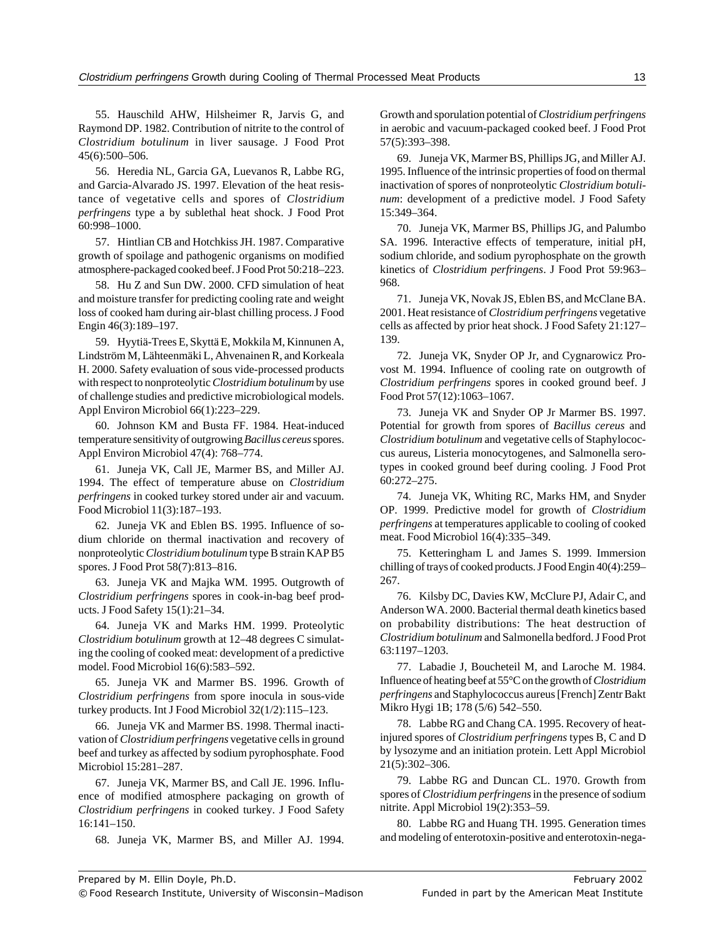55. Hauschild AHW, Hilsheimer R, Jarvis G, and Raymond DP. 1982. Contribution of nitrite to the control of *Clostridium botulinum* in liver sausage. J Food Prot 45(6):500–506.

56. Heredia NL, Garcia GA, Luevanos R, Labbe RG, and Garcia-Alvarado JS. 1997. Elevation of the heat resistance of vegetative cells and spores of *Clostridium perfringens* type a by sublethal heat shock. J Food Prot 60:998–1000.

57. Hintlian CB and Hotchkiss JH. 1987. Comparative growth of spoilage and pathogenic organisms on modified atmosphere-packaged cooked beef. J Food Prot 50:218–223.

58. Hu Z and Sun DW. 2000. CFD simulation of heat and moisture transfer for predicting cooling rate and weight loss of cooked ham during air-blast chilling process. J Food Engin 46(3):189–197.

59. Hyytiä-Trees E, Skyttä E, Mokkila M, Kinnunen A, Lindström M, Lähteenmäki L, Ahvenainen R, and Korkeala H. 2000. Safety evaluation of sous vide-processed products with respect to nonproteolytic *Clostridium botulinum* by use of challenge studies and predictive microbiological models. Appl Environ Microbiol 66(1):223–229.

60. Johnson KM and Busta FF. 1984. Heat-induced temperature sensitivity of outgrowing *Bacillus cereus* spores. Appl Environ Microbiol 47(4): 768–774.

61. Juneja VK, Call JE, Marmer BS, and Miller AJ. 1994. The effect of temperature abuse on *Clostridium perfringens* in cooked turkey stored under air and vacuum. Food Microbiol 11(3):187–193.

62. Juneja VK and Eblen BS. 1995. Influence of sodium chloride on thermal inactivation and recovery of nonproteolytic *Clostridium botulinum* type B strain KAP B5 spores. J Food Prot 58(7):813–816.

63. Juneja VK and Majka WM. 1995. Outgrowth of *Clostridium perfringens* spores in cook-in-bag beef products. J Food Safety 15(1):21–34.

64. Juneja VK and Marks HM. 1999. Proteolytic *Clostridium botulinum* growth at 12–48 degrees C simulating the cooling of cooked meat: development of a predictive model. Food Microbiol 16(6):583–592.

65. Juneja VK and Marmer BS. 1996. Growth of *Clostridium perfringens* from spore inocula in sous-vide turkey products. Int J Food Microbiol 32(1/2):115–123.

66. Juneja VK and Marmer BS. 1998. Thermal inactivation of *Clostridium perfringens* vegetative cells in ground beef and turkey as affected by sodium pyrophosphate. Food Microbiol 15:281–287.

67. Juneja VK, Marmer BS, and Call JE. 1996. Influence of modified atmosphere packaging on growth of *Clostridium perfringens* in cooked turkey. J Food Safety 16:141–150.

68. Juneja VK, Marmer BS, and Miller AJ. 1994.

Growth and sporulation potential of *Clostridium perfringens* in aerobic and vacuum-packaged cooked beef. J Food Prot 57(5):393–398.

69. Juneja VK, Marmer BS, Phillips JG, and Miller AJ. 1995. Influence of the intrinsic properties of food on thermal inactivation of spores of nonproteolytic *Clostridium botulinum*: development of a predictive model. J Food Safety 15:349–364.

70. Juneja VK, Marmer BS, Phillips JG, and Palumbo SA. 1996. Interactive effects of temperature, initial pH, sodium chloride, and sodium pyrophosphate on the growth kinetics of *Clostridium perfringens*. J Food Prot 59:963– 968.

71. Juneja VK, Novak JS, Eblen BS, and McClane BA. 2001. Heat resistance of *Clostridium perfringens* vegetative cells as affected by prior heat shock. J Food Safety 21:127– 139.

72. Juneja VK, Snyder OP Jr, and Cygnarowicz Provost M. 1994. Influence of cooling rate on outgrowth of *Clostridium perfringens* spores in cooked ground beef. J Food Prot 57(12):1063–1067.

73. Juneja VK and Snyder OP Jr Marmer BS. 1997. Potential for growth from spores of *Bacillus cereus* and *Clostridium botulinum* and vegetative cells of Staphylococcus aureus, Listeria monocytogenes, and Salmonella serotypes in cooked ground beef during cooling. J Food Prot 60:272–275.

74. Juneja VK, Whiting RC, Marks HM, and Snyder OP. 1999. Predictive model for growth of *Clostridium perfringens* at temperatures applicable to cooling of cooked meat. Food Microbiol 16(4):335–349.

75. Ketteringham L and James S. 1999. Immersion chilling of trays of cooked products. J Food Engin 40(4):259– 267.

76. Kilsby DC, Davies KW, McClure PJ, Adair C, and Anderson WA. 2000. Bacterial thermal death kinetics based on probability distributions: The heat destruction of *Clostridium botulinum* and Salmonella bedford. J Food Prot 63:1197–1203.

77. Labadie J, Boucheteil M, and Laroche M. 1984. Influence of heating beef at 55°C on the growth of *Clostridium perfringens* and Staphylococcus aureus [French] Zentr Bakt Mikro Hygi 1B; 178 (5/6) 542–550.

78. Labbe RG and Chang CA. 1995. Recovery of heatinjured spores of *Clostridium perfringens* types B, C and D by lysozyme and an initiation protein. Lett Appl Microbiol 21(5):302–306.

79. Labbe RG and Duncan CL. 1970. Growth from spores of *Clostridium perfringens* in the presence of sodium nitrite. Appl Microbiol 19(2):353–59.

80. Labbe RG and Huang TH. 1995. Generation times and modeling of enterotoxin-positive and enterotoxin-nega-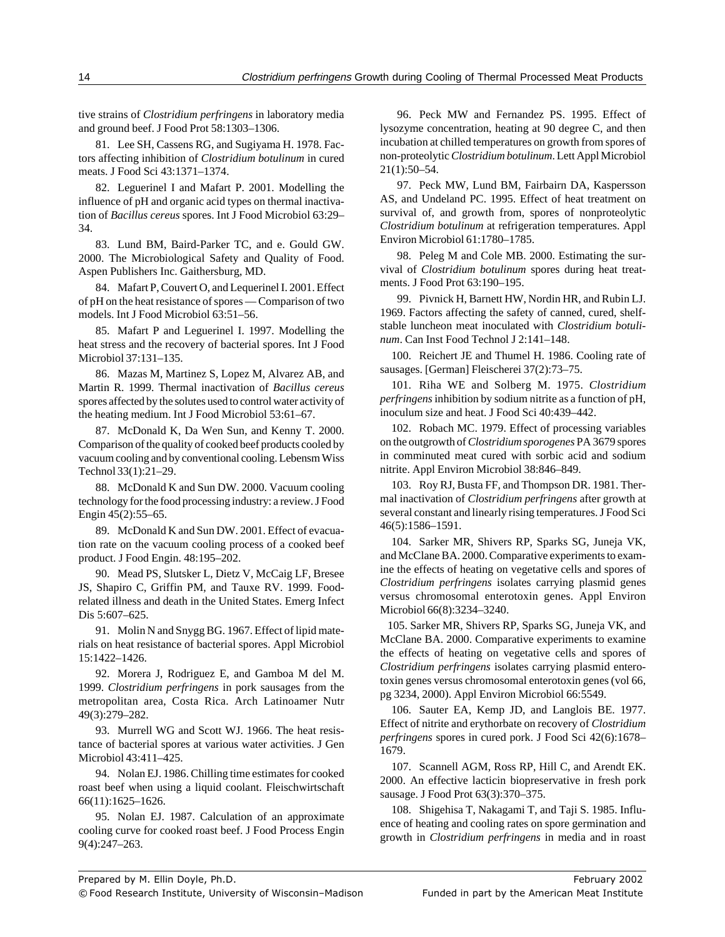tive strains of *Clostridium perfringens* in laboratory media and ground beef. J Food Prot 58:1303–1306.

81. Lee SH, Cassens RG, and Sugiyama H. 1978. Factors affecting inhibition of *Clostridium botulinum* in cured meats. J Food Sci 43:1371–1374.

82. Leguerinel I and Mafart P. 2001. Modelling the influence of pH and organic acid types on thermal inactivation of *Bacillus cereus* spores. Int J Food Microbiol 63:29– 34.

83. Lund BM, Baird-Parker TC, and e. Gould GW. 2000. The Microbiological Safety and Quality of Food. Aspen Publishers Inc. Gaithersburg, MD.

84. Mafart P, Couvert O, and Lequerinel I. 2001. Effect of pH on the heat resistance of spores — Comparison of two models. Int J Food Microbiol 63:51–56.

85. Mafart P and Leguerinel I. 1997. Modelling the heat stress and the recovery of bacterial spores. Int J Food Microbiol 37:131–135.

86. Mazas M, Martinez S, Lopez M, Alvarez AB, and Martin R. 1999. Thermal inactivation of *Bacillus cereus* spores affected by the solutes used to control water activity of the heating medium. Int J Food Microbiol 53:61–67.

87. McDonald K, Da Wen Sun, and Kenny T. 2000. Comparison of the quality of cooked beef products cooled by vacuum cooling and by conventional cooling. Lebensm Wiss Technol 33(1):21–29.

88. McDonald K and Sun DW. 2000. Vacuum cooling technology for the food processing industry: a review. J Food Engin 45(2):55–65.

89. McDonald K and Sun DW. 2001. Effect of evacuation rate on the vacuum cooling process of a cooked beef product. J Food Engin. 48:195–202.

90. Mead PS, Slutsker L, Dietz V, McCaig LF, Bresee JS, Shapiro C, Griffin PM, and Tauxe RV. 1999. Foodrelated illness and death in the United States. Emerg Infect Dis 5:607–625.

91. Molin N and Snygg BG. 1967. Effect of lipid materials on heat resistance of bacterial spores. Appl Microbiol 15:1422–1426.

92. Morera J, Rodriguez E, and Gamboa M del M. 1999. *Clostridium perfringens* in pork sausages from the metropolitan area, Costa Rica. Arch Latinoamer Nutr 49(3):279–282.

93. Murrell WG and Scott WJ. 1966. The heat resistance of bacterial spores at various water activities. J Gen Microbiol 43:411–425.

94. Nolan EJ. 1986. Chilling time estimates for cooked roast beef when using a liquid coolant. Fleischwirtschaft 66(11):1625–1626.

95. Nolan EJ. 1987. Calculation of an approximate cooling curve for cooked roast beef. J Food Process Engin 9(4):247–263.

96. Peck MW and Fernandez PS. 1995. Effect of lysozyme concentration, heating at 90 degree C, and then incubation at chilled temperatures on growth from spores of non-proteolytic *Clostridium botulinum*. Lett Appl Microbiol 21(1):50–54.

97. Peck MW, Lund BM, Fairbairn DA, Kaspersson AS, and Undeland PC. 1995. Effect of heat treatment on survival of, and growth from, spores of nonproteolytic *Clostridium botulinum* at refrigeration temperatures. Appl Environ Microbiol 61:1780–1785.

98. Peleg M and Cole MB. 2000. Estimating the survival of *Clostridium botulinum* spores during heat treatments. J Food Prot 63:190–195.

99. Pivnick H, Barnett HW, Nordin HR, and Rubin LJ. 1969. Factors affecting the safety of canned, cured, shelfstable luncheon meat inoculated with *Clostridium botulinum*. Can Inst Food Technol J 2:141–148.

100. Reichert JE and Thumel H. 1986. Cooling rate of sausages. [German] Fleischerei 37(2):73–75.

101. Riha WE and Solberg M. 1975. *Clostridium perfringens* inhibition by sodium nitrite as a function of pH, inoculum size and heat. J Food Sci 40:439–442.

102. Robach MC. 1979. Effect of processing variables on the outgrowth of *Clostridium sporogenes* PA 3679 spores in comminuted meat cured with sorbic acid and sodium nitrite. Appl Environ Microbiol 38:846–849.

103. Roy RJ, Busta FF, and Thompson DR. 1981. Thermal inactivation of *Clostridium perfringens* after growth at several constant and linearly rising temperatures. J Food Sci 46(5):1586–1591.

104. Sarker MR, Shivers RP, Sparks SG, Juneja VK, and McClane BA. 2000. Comparative experiments to examine the effects of heating on vegetative cells and spores of *Clostridium perfringens* isolates carrying plasmid genes versus chromosomal enterotoxin genes. Appl Environ Microbiol 66(8):3234–3240.

105. Sarker MR, Shivers RP, Sparks SG, Juneja VK, and McClane BA. 2000. Comparative experiments to examine the effects of heating on vegetative cells and spores of *Clostridium perfringens* isolates carrying plasmid enterotoxin genes versus chromosomal enterotoxin genes (vol 66, pg 3234, 2000). Appl Environ Microbiol 66:5549.

106. Sauter EA, Kemp JD, and Langlois BE. 1977. Effect of nitrite and erythorbate on recovery of *Clostridium perfringens* spores in cured pork. J Food Sci 42(6):1678– 1679.

107. Scannell AGM, Ross RP, Hill C, and Arendt EK. 2000. An effective lacticin biopreservative in fresh pork sausage. J Food Prot 63(3):370–375.

108. Shigehisa T, Nakagami T, and Taji S. 1985. Influence of heating and cooling rates on spore germination and growth in *Clostridium perfringens* in media and in roast